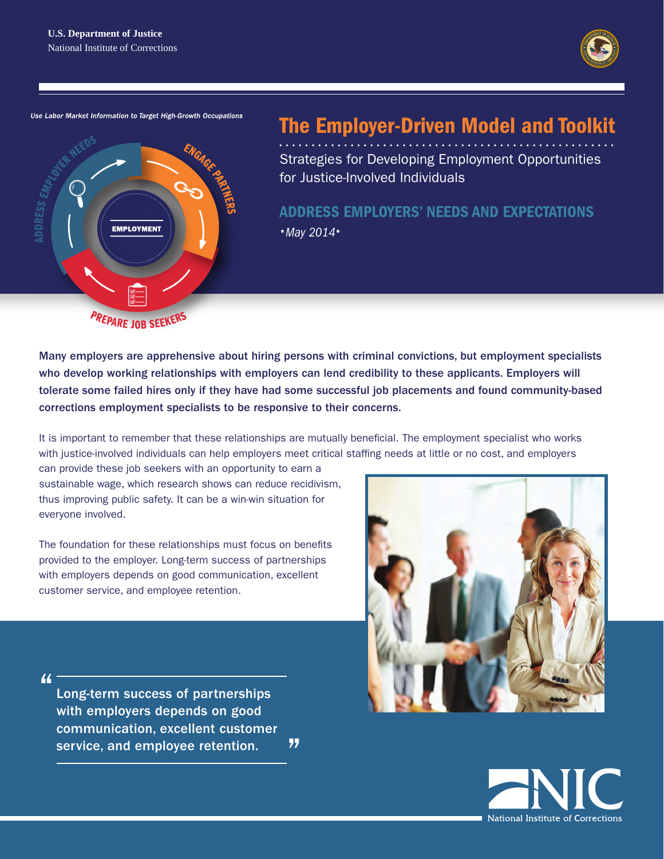

Use Labor Market Information to Target High-Growth Occupations



# The Employer-Driven Model and Toolkit

Strategies for Developing Employment Opportunities for Justice-Involved Individuals

ADDRESS EMPLOYERS' NEEDS AND EXPECTATIONS *•May 2014•* 

Many employers are apprehensive about hiring persons with criminal convictions, but employment specialists who develop working relationships with employers can lend credibility to these applicants. Employers will tolerate some failed hires only if they have had some successful job placements and found community-based corrections employment specialists to be responsive to their concerns.

It is important to remember that these relationships are mutually beneficial. The employment specialist who works with justice-involved individuals can help employers meet critical staffing needs at little or no cost, and employers

can provide these job seekers with an opportunity to earn a sustainable wage, which research shows can reduce recidivism, thus improving public safety. It can be a win-win situation for everyone involved.

The foundation for these relationships must focus on benefits provided to the employer. Long-term success of partnerships with employers depends on good communication, excellent customer service, and employee retention.



" with employers depends on good communication, excellent customer service, and employee retention. 77

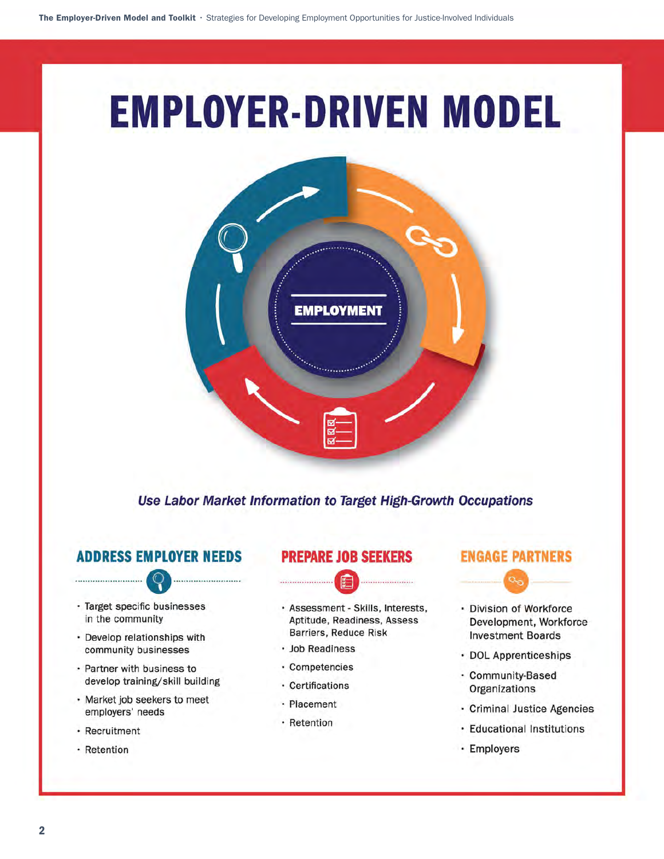# **EMPLOYER-DRIVEN MODEL**



**Use Labor Market Information to Target High-Growth Occupations** 

# **ADDRESS EMPLOYER NEEDS**

• Target specific businesses in the community

···························•···························

- Develop relationships with community businesses
- Partner with business to develop training/skill building
- Market job seekers to meet employers' needs
- Recruitment
- Retention

# **PREPARE JOB SEEKERS**



- Assessment Skills, Interests, Aptitude, Readiness, Assess Barriers, Reduce Risk
- Job Readiness
- Competencies
- Certifications
- Placement
- Retention

# **ENGAGE PARTNERS**



- Division of Workforce Development, Workforce Investment Boards
- DOL Apprenticeships
- Community-Based **Organizations**
- Criminal Justice Agencies
- Educational Institutions
- Employers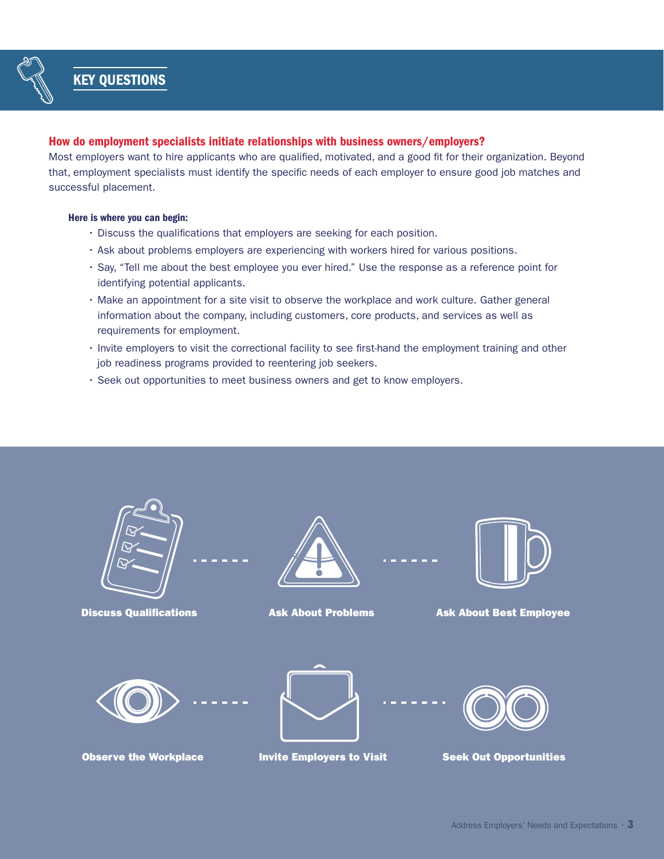

# How do employment specialists initiate relationships with business owners/employers?

Most employers want to hire applicants who are qualified, motivated, and a good fit for their organization. Beyond that, employment specialists must identify the specific needs of each employer to ensure good job matches and successful placement.

#### Here is where you can begin:

- Discuss the qualifications that employers are seeking for each position.
- Ask about problems employers are experiencing with workers hired for various positions.
- Say, "Tell me about the best employee you ever hired." Use the response as a reference point for identifying potential applicants.
- Make an appointment for a site visit to observe the workplace and work culture. Gather general information about the company, including customers, core products, and services as well as requirements for employment.
- Invite employers to visit the correctional facility to see first-hand the employment training and other job readiness programs provided to reentering job seekers.
- Seek out opportunities to meet business owners and get to know employers.







Discuss Qualifications **Ask About Problems** Ask About Best Employee





Observe the Workplace **Invite Employers to Visit** Seek Out Opportunities

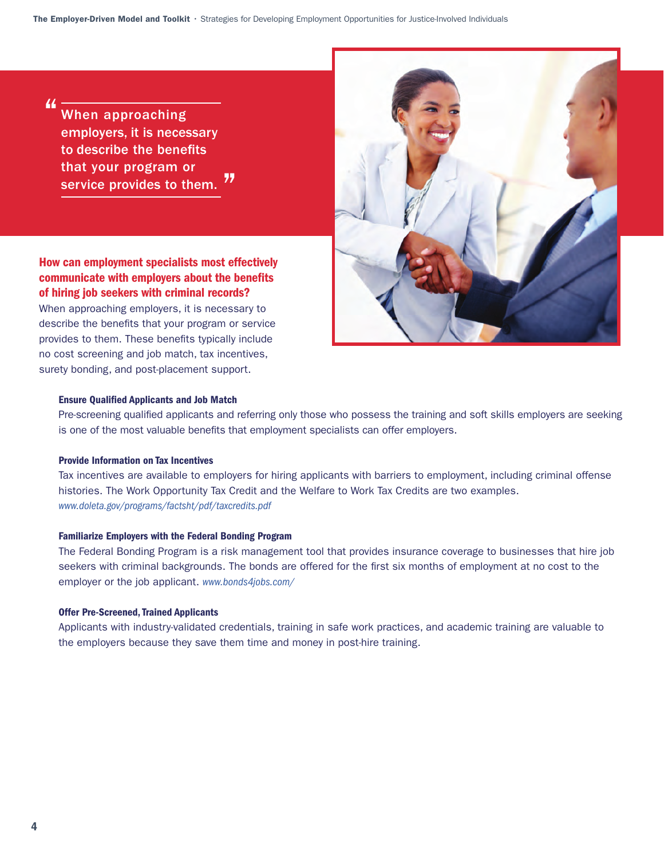"

When approaching employers, it is necessary to describe the benefits that your program or service provides to them. "

# How can employment specialists most effectively communicate with employers about the benefits of hiring job seekers with criminal records?

 no cost screening and job match, tax incentives, When approaching employers, it is necessary to describe the benefits that your program or service provides to them. These benefits typically include surety bonding, and post-placement support.



## Ensure Qualified Applicants and Job Match

Pre-screening qualified applicants and referring only those who possess the training and soft skills employers are seeking is one of the most valuable benefits that employment specialists can offer employers.

#### Provide Information on Tax Incentives

Tax incentives are available to employers for hiring applicants with barriers to employment, including criminal offense histories. The Work Opportunity Tax Credit and the Welfare to Work Tax Credits are two examples. *[www.doleta.gov/programs/factsht/pdf/taxcredits.pdf](http://www.doleta.gov/programs/factsht/pdf/taxcredits.pdf
)* 

#### Familiarize Employers with the Federal Bonding Program

The Federal Bonding Program is a risk management tool that provides insurance coverage to businesses that hire job seekers with criminal backgrounds. The bonds are offered for the first six months of employment at no cost to the employer or the job applicant. *[www.bonds4jobs.com/](http://www.bonds4jobs.com/)* 

#### Offer Pre-Screened, Trained Applicants

Applicants with industry-validated credentials, training in safe work practices, and academic training are valuable to the employers because they save them time and money in post-hire training.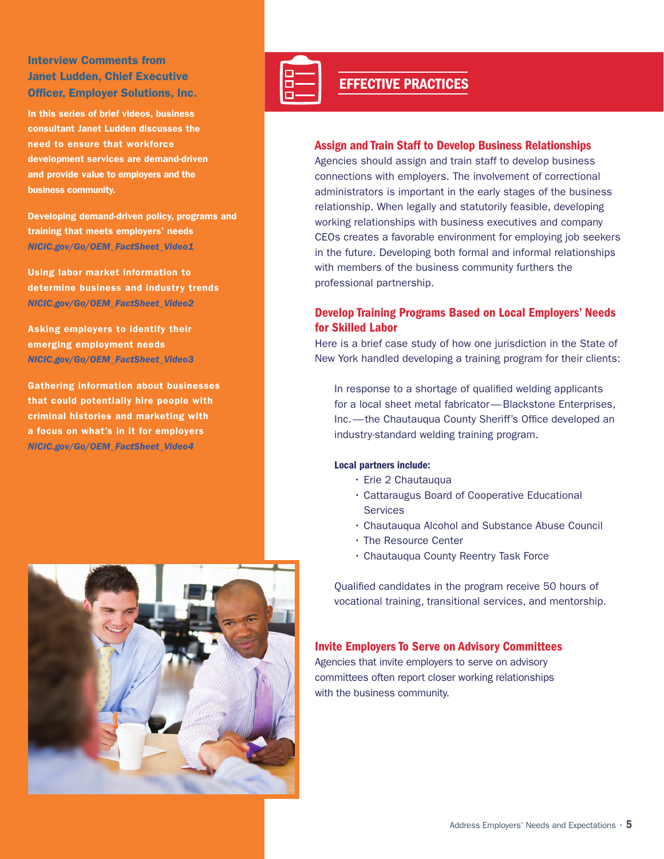# Interview Comments from Janet Ludden, Chief Executive Officer, Employer Solutions, Inc.

 and provide value to employers and the In this series of brief videos, business consultant Janet Ludden discusses the need to ensure that workforce development services are demand-driven business community.

Developing demand-driven policy, programs and training that meets employers' needs *[NICIC.gov/Go/OEM\\_FactSheet\\_Video1](http://NICIC.gov/Go/OEM_FactSheet_Video1)* 

 *[NICIC.gov/Go/OEM\\_FactSheet\\_Video2](http://NICIC.gov/Go/OEM_FactSheet_Video2)* Using labor market information to determine business and industry trends

Asking employers to identify their emerging employment needs *[NICIC.gov/Go/OEM\\_FactSheet\\_Video3](http://NICIC.gov/Go/OEM_FactSheet_Video3)* 

Gathering information about businesses that could potentially hire people with criminal histories and marketing with a focus on what's in it for employers *[NICIC.gov/Go/OEM\\_FactSheet\\_Video4](http://NICIC.gov/Go/OEM_FactSheet_Video4)* 





# EFFECTIVE PRACTICES

# Assign and Train Staff to Develop Business Relationships

Agencies should assign and train staff to develop business connections with employers. The involvement of correctional administrators is important in the early stages of the business relationship. When legally and statutorily feasible, developing working relationships with business executives and company CEOs creates a favorable environment for employing job seekers in the future. Developing both formal and informal relationships with members of the business community furthers the professional partnership.

# Develop Training Programs Based on Local Employers' Needs for Skilled Labor

Here is a brief case study of how one jurisdiction in the State of New York handled developing a training program for their clients:

In response to a shortage of qualified welding applicants for a local sheet metal fabricator—Blackstone Enterprises, Inc.—the Chautauqua County Sheriff's Office developed an industry-standard welding training program.

## Local partners include:

- Erie 2 Chautauqua
- Cattaraugus Board of Cooperative Educational **Services**
- Chautauqua Alcohol and Substance Abuse Council
- The Resource Center
- Chautauqua County Reentry Task Force

Qualified candidates in the program receive 50 hours of vocational training, transitional services, and mentorship.

# Invite Employers To Serve on Advisory Committees

Agencies that invite employers to serve on advisory committees often report closer working relationships with the business community.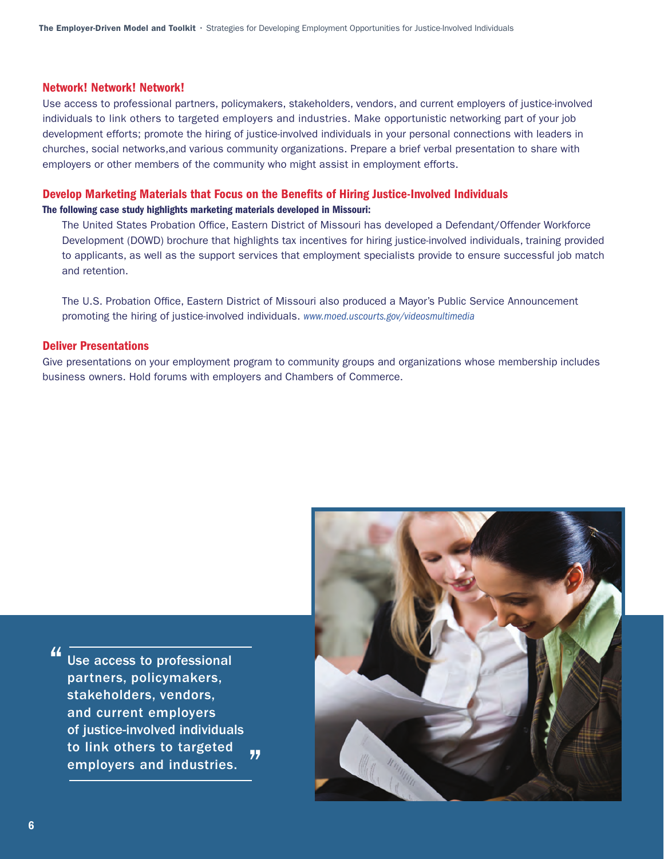#### Network! Network! Network!

 individuals to link others to targeted employers and industries. Make opportunistic networking part of your job Use access to professional partners, policymakers, stakeholders, vendors, and current employers of justice-involved development efforts; promote the hiring of justice-involved individuals in your personal connections with leaders in churches, social networks,and various community organizations. Prepare a brief verbal presentation to share with employers or other members of the community who might assist in employment efforts.

# Develop Marketing Materials that Focus on the Benefits of Hiring Justice-Involved Individuals

#### The following case study highlights marketing materials developed in Missouri:

The United States Probation Office, Eastern District of Missouri has developed a Defendant/Offender Workforce Development (DOWD) brochure that highlights tax incentives for hiring justice-involved individuals, training provided to applicants, as well as the support services that employment specialists provide to ensure successful job match and retention.

The U.S. Probation Office, Eastern District of Missouri also produced a Mayor's Public Service Announcement promoting the hiring of justice-involved individuals. *[www.moed.uscourts.gov/videosmultimedia](http:// www.moed.uscourts.gov/videosmultimedia)* 

#### Deliver Presentations

Give presentations on your employment program to community groups and organizations whose membership includes business owners. Hold forums with employers and Chambers of Commerce.

Use access to professional " partners, policymakers, stakeholders, vendors, and current employers of justice-involved individuals to link others to targeted<br>employers and industries.

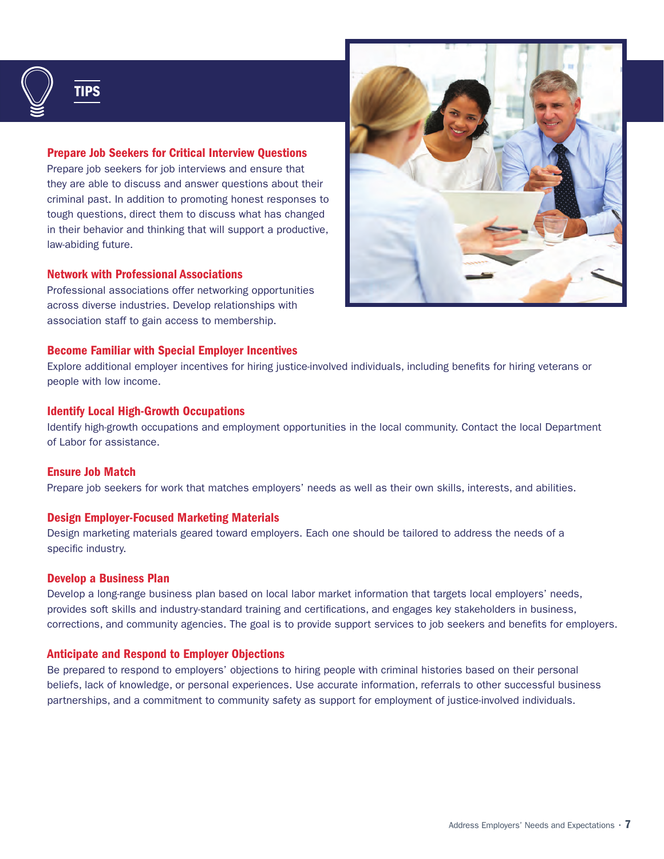

TIPS

# Prepare Job Seekers for Critical Interview Questions

Prepare job seekers for job interviews and ensure that they are able to discuss and answer questions about their criminal past. In addition to promoting honest responses to tough questions, direct them to discuss what has changed in their behavior and thinking that will support a productive, law-abiding future.

# Network with Professional Associations

Professional associations offer networking opportunities across diverse industries. Develop relationships with association staff to gain access to membership.

## Become Familiar with Special Employer Incentives

Explore additional employer incentives for hiring justice-involved individuals, including benefits for hiring veterans or people with low income.

#### Identify Local High-Growth Occupations

Identify high-growth occupations and employment opportunities in the local community. Contact the local Department of Labor for assistance.

# Ensure Job Match

Prepare job seekers for work that matches employers' needs as well as their own skills, interests, and abilities.

#### Design Employer-Focused Marketing Materials

Design marketing materials geared toward employers. Each one should be tailored to address the needs of a specific industry.

#### Develop a Business Plan

 Develop a long-range business plan based on local labor market information that targets local employers' needs, provides soft skills and industry-standard training and certifications, and engages key stakeholders in business, corrections, and community agencies. The goal is to provide support services to job seekers and benefits for employers.

# Anticipate and Respond to Employer Objections

Be prepared to respond to employers' objections to hiring people with criminal histories based on their personal beliefs, lack of knowledge, or personal experiences. Use accurate information, referrals to other successful business partnerships, and a commitment to community safety as support for employment of justice-involved individuals.